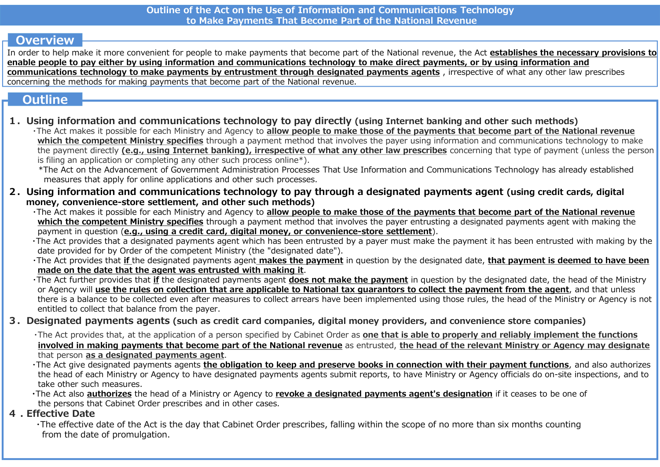### **Overview**

In order to help make it more convenient for people to make payments that become part of the National revenue, the Act establishes the necessary provisions to enable people to pay either by using information and communications technology to make direct payments, or by using information and communications technology to make payments by entrustment through designated payments agents , irrespective of what any other law prescribes concerning the methods for making payments that become part of the National revenue. Outline of the Act on the Use of Information and Communications Technology<br>
The The Act movies it more convenient for each Ministry and Bensiming the methods in the National revenue, the Act establishes the necessary provi

### **Outline**

1.Using information and communications technology to pay directly (using Internet banking and other such methods)

・The Act makes it possible for each Ministry and Agency to allow people to make those of the payments that become part of the National revenue which the competent Ministry specifies through a payment method that involves the payer using information and communications technology to make the payment directly (e.g., using Internet banking), irrespective of what any other law prescribes concerning that type of payment (unless the person is filing an application or completing any other such process online\*).

\*The Act on the Advancement of Government Administration Processes That Use Information and Communications Technology has already established measures that apply for online applications and other such processes.

- 2.Using information and communications technology to pay through a designated payments agent (using credit cards, digital money, convenience-store settlement, and other such methods)<br>The Act makes it possible for each Ministry and Agency to allow people to make those of the payments that become part of the National revenue
	- which the competent Ministry specifies through a payment method that involves the payer entrusting a designated payments agent with making the payment in question (e.g., using a credit card, digital money, or convenience-store settlement).

・The Act provides that a designated payments agent which has been entrusted by a payer must make the payment it has been entrusted with making by the date provided for by Order of the competent Ministry (the "designated date").

The Act provides that if the designated payments agent makes the payment in question by the designated date, that payment is deemed to have been made on the date that the agent was entrusted with making it.

The Act further provides that if the designated payments agent does not make the payment in question by the designated date, the head of the Ministry or Agency will use the rules on collection that are applicable to National tax quarantors to collect the payment from the agent, and that unless there is a balance to be collected even after measures to collect arrears have been implemented using those rules, the head of the Ministry or Agency is not entitled to collect that balance from the payer. which the completent Ministry specifies through a payment method that involves the paywer using information and communications technology to make it filling an application and Communications Technology is one-<br>in filling a The Act makes it possible for each Ministry and Agency to all<br>
which the competent Ministry specifies through a paymer<br>
payment in question (e.g., using a credit card, digital more<br>
The Act provides that a designated payme

### 3. Designated payments agents (such as credit card companies, digital money providers, and convenience store companies)

The Act provides that, at the application of a person specified by Cabinet Order as one that is able to properly and reliably implement the functions that person as a designated payments agent.

The Act give designated payments agents the obligation to keep and preserve books in connection with their payment functions, and also authorizes the head of each Ministry or Agency to have designated payments agents submit reports, to have Ministry or Agency officials do on-site inspections, and to take other such measures.

. The Act also authorizes the head of a Ministry or Agency to revoke a designated payments agent's designation if it ceases to be one of the persons that Cabinet Order prescribes and in other cases.

・The effective date of the Act is the day that Cabinet Order prescribes, falling within the scope of no more than six months counting from the date of promulgation.